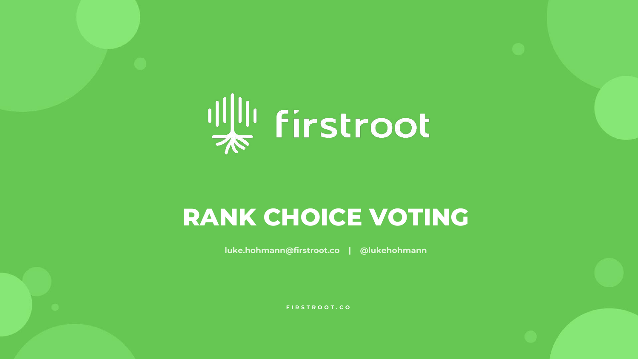

# **RANK CHOICE VOTING**

**luke.hohmann@firstroot.co | @lukehohmann**

**FIRSTROOT.CO**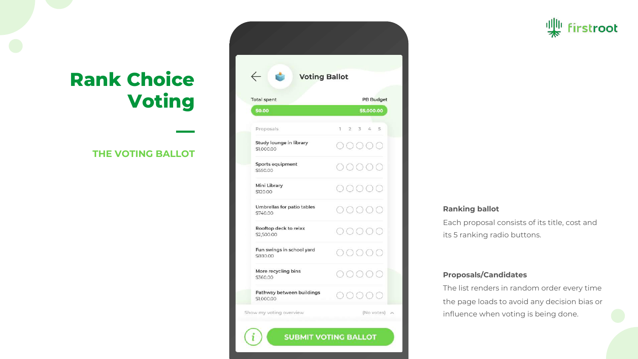### **THE VOTING BALLOT**

**—**

| <b>Voting Ballot</b>                    |                     |  |
|-----------------------------------------|---------------------|--|
| <b>Total spent</b>                      | <b>PB Budget</b>    |  |
| \$0.00                                  | \$5,000.00          |  |
| Proposals                               | $1 \t2 \t3 \t4 \t5$ |  |
| Study lounge in library<br>\$1,000.00   | DOOC                |  |
| Sports equipment<br>\$550.00            | ( ) ( )             |  |
| Mini Library<br>\$120.00                | <b>OOC</b>          |  |
| Umbrellas for patio tables<br>\$740.00  | OOOC                |  |
| Rooftop deck to relax<br>\$2,500.00     | OOOC                |  |
| Fun swings in school yard<br>\$880,00   | 000                 |  |
| More recycling bins<br>\$360.00         | ( ) ( )             |  |
| Pathway between buildings<br>\$1,000.00 | COC                 |  |

**SUBMIT VOTING BALLOT** 

### rstroot

#### **Ranking ballot**

Each proposal consists of its title, cost and its 5 ranking radio buttons.

#### **Proposals/Candidates**

The list renders in random order every time the page loads to avoid any decision bias or influence when voting is being done.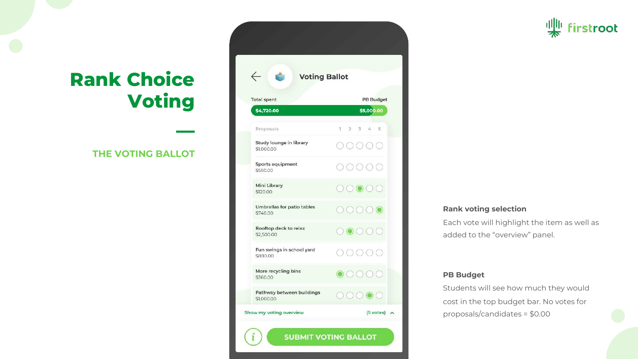### **THE VOTING BALLOT**

**—**

| $\leftarrow$<br><b>Voting Ballot</b>    |                                                                                                                                                                                                                                                                                                                                                                                                                                                                                                                              |  |  |
|-----------------------------------------|------------------------------------------------------------------------------------------------------------------------------------------------------------------------------------------------------------------------------------------------------------------------------------------------------------------------------------------------------------------------------------------------------------------------------------------------------------------------------------------------------------------------------|--|--|
| <b>Total spent</b>                      | <b>PB Budget</b>                                                                                                                                                                                                                                                                                                                                                                                                                                                                                                             |  |  |
| \$4,720.00                              | \$5,000.00                                                                                                                                                                                                                                                                                                                                                                                                                                                                                                                   |  |  |
| Proposals                               | $1 \t2 \t3 \t4 \t5$                                                                                                                                                                                                                                                                                                                                                                                                                                                                                                          |  |  |
| Study lounge in library<br>\$1,000.00   | ( ) ( ) ( )                                                                                                                                                                                                                                                                                                                                                                                                                                                                                                                  |  |  |
| Sports equipment<br>\$550.00            | $\begin{array}{c} \hline \text{ } & \text{ } \\ \text{ } & \text{ } \\ \text{ } & \text{ } \\ \text{ } & \text{ } \\ \text{ } & \text{ } \\ \text{ } & \text{ } \\ \text{ } & \text{ } \\ \text{ } & \text{ } \\ \text{ } & \text{ } \\ \text{ } & \text{ } \\ \text{ } & \text{ } \\ \text{ } & \text{ } \\ \text{ } & \text{ } \\ \text{ } & \text{ } \\ \text{ } & \text{ } \\ \text{ } & \text{ } \\ \text{ } & \text{ } \\ \text{ } & \text{ } \\ \text{ } & \text{ } \\ \text{ } & \text{ } \\ \text{ } & \text{ } \\$ |  |  |
| Mini Library<br>\$120.00                | 00000                                                                                                                                                                                                                                                                                                                                                                                                                                                                                                                        |  |  |
| Umbrellas for patio tables<br>\$740.00  | 00000                                                                                                                                                                                                                                                                                                                                                                                                                                                                                                                        |  |  |
| Rooftop deck to relax<br>\$2,500.00     | 00000                                                                                                                                                                                                                                                                                                                                                                                                                                                                                                                        |  |  |
| Fun swings in school yard<br>\$880.00   | OOOO                                                                                                                                                                                                                                                                                                                                                                                                                                                                                                                         |  |  |
| More recycling bins<br>\$360.00         | $\odot$ $\odot$ $\odot$ $\odot$                                                                                                                                                                                                                                                                                                                                                                                                                                                                                              |  |  |
| Pathway between buildings<br>\$1,000.00 | 00000                                                                                                                                                                                                                                                                                                                                                                                                                                                                                                                        |  |  |

### irstroot

#### **Rank voting selection**

Each vote will highlight the item as well as added to the "overview" panel.

#### **PB Budget**

Students will see how much they would cost in the top budget bar. No votes for proposals/candidates = \$0.00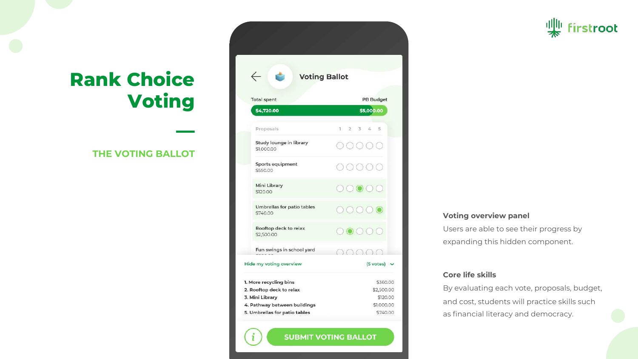### **THE VOTING BALLOT**

**—**

| $\leftarrow$<br><b>Voting Ballot</b>               |                                |
|----------------------------------------------------|--------------------------------|
| <b>Total spent</b>                                 | <b>PB Budget</b>               |
| \$4,720.00                                         | \$5,000.00                     |
| Proposals                                          | $1 \t2 \t3 \t4 \t5$            |
| Study lounge in library<br>\$1,000.00              |                                |
| Sports equipment<br>\$550.00                       |                                |
| Mini Library<br>\$120.00                           | 0000                           |
| Umbrellas for patio tables<br>\$740.00             | 0000                           |
| Rooftop deck to relax<br>\$2,500.00                | $\circ\bullet\circ\circ$       |
| Fun swings in school yard                          | 00000                          |
| Hide my voting overview                            | $(5 \text{ votes}) \quad \vee$ |
| 1. More recycling bins<br>2. Rooftop deck to relax | \$360.00<br>\$2,500.00         |
| 3. Mini Library<br>4. Pathway between buildings    | \$120.00<br>\$1,000.00         |

**SUBMIT VOTING BALLOT** 

### rstroot

#### **Voting overview panel**

Users are able to see their progress by expanding this hidden component.

#### **Core life skills**

By evaluating each vote, proposals, budget, and cost, students will practice skills such as financial literacy and democracy.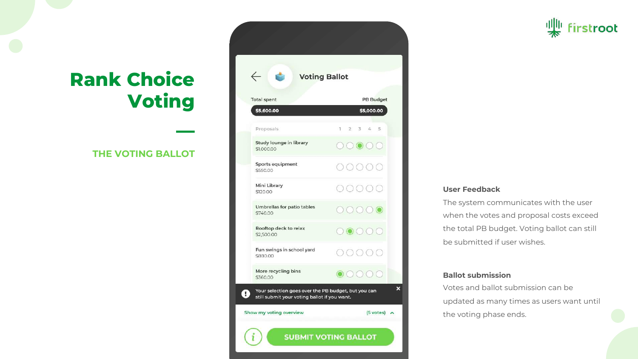### **THE VOTING BALLOT**

**—**

| <b>Total spent</b>                     | <b>PB Budget</b>                                                             |
|----------------------------------------|------------------------------------------------------------------------------|
| \$5,600.00                             | \$5,000.00                                                                   |
| Proposals                              | $1 \quad 2$<br>34<br>$-5$                                                    |
| Study lounge in library<br>\$1,000.00  | 00000                                                                        |
| Sports equipment<br>\$550.00           | $)$ ( ) (                                                                    |
| Mini Library<br>\$120.00               | OOC                                                                          |
| Umbrellas for patio tables<br>\$740.00 | 00000                                                                        |
| Rooftop deck to relax<br>\$2,500.00    | 00000                                                                        |
| Fun swings in school yard<br>\$880,00  | $\begin{array}{c} \begin{array}{c} \hline \end{array} \\ \hline \end{array}$ |
| More recycling bins<br>\$360.00        |                                                                              |

### rstroot

#### **User Feedback**

The system communicates with the user when the votes and proposal costs exceed the total PB budget. Voting ballot can still be submitted if user wishes.

#### **Ballot submission**

Votes and ballot submission can be updated as many times as users want until the voting phase ends.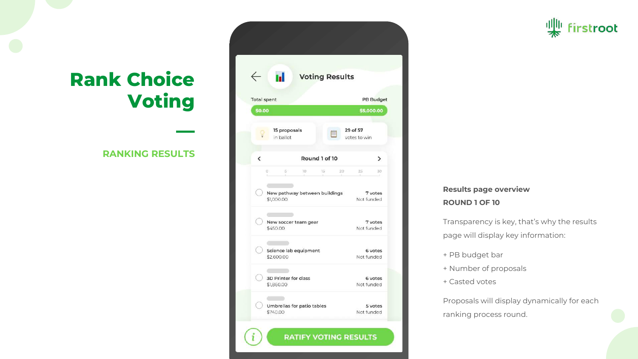### **RANKING RESULTS**

**—**

| <b>Total spent</b>       |                                                                                                           | <b>PB Budget</b>                   |
|--------------------------|-----------------------------------------------------------------------------------------------------------|------------------------------------|
| \$0.00                   |                                                                                                           | \$5,000.00                         |
|                          | 15 proposals<br>in ballot                                                                                 | 29 of 57<br>votes to win           |
| $\overline{\phantom{0}}$ | Round 1 of 10                                                                                             | ゝ                                  |
| O.                       | $\mathbb{S}^{\scriptscriptstyle \perp}$<br>10.<br>20<br>15<br>New pathway between buildings<br>\$1,000.00 | 30<br>25.<br>7 votes<br>Not funded |
|                          | New soccer team gear<br>\$450.00                                                                          | 7 votes<br>Not funded              |
|                          | Science lab equipment<br>\$2,600.00                                                                       | 6 votes<br>Not funded              |
|                          | <b>3D Printer for class</b><br>\$1,860.00                                                                 | 6 votes<br>Not funded              |

### **Results page overview ROUND 1 OF 10**

Transparency is key, that's why the results page will display key information:

**irstroot** 

- + PB budget bar
- + Number of proposals
- + Casted votes

Proposals will display dynamically for each ranking process round.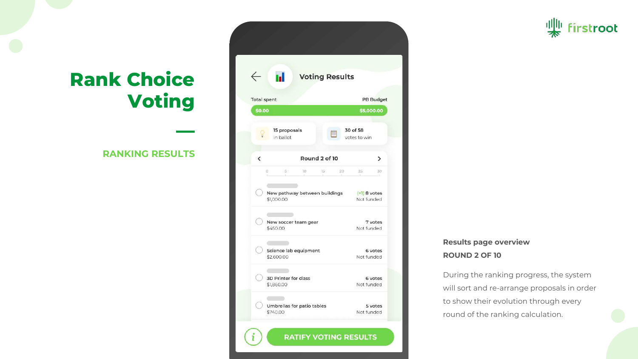### **RANKING RESULTS**

**—**

|                          | ы.<br><b>Voting Results</b>                                       |                          |  |  |  |
|--------------------------|-------------------------------------------------------------------|--------------------------|--|--|--|
| <b>Total spent</b>       |                                                                   | <b>PB Budget</b>         |  |  |  |
| \$0.00                   |                                                                   | \$5,000.00               |  |  |  |
|                          |                                                                   |                          |  |  |  |
|                          | 15 proposals<br>in ballot                                         | 30 of 58<br>votes to win |  |  |  |
| $\overline{\phantom{0}}$ | Round 2 of 10                                                     | ⋋                        |  |  |  |
|                          | $\mathbb{S}^{\scriptscriptstyle \square}$<br>10<br>15<br>20<br>0. | 25<br>30                 |  |  |  |
|                          |                                                                   |                          |  |  |  |
|                          | New pathway between buildings (+1) 8 votes                        |                          |  |  |  |
|                          | \$1,000.00                                                        | Not funded               |  |  |  |
|                          |                                                                   |                          |  |  |  |
|                          | New soccer team gear<br>\$450.00                                  | 7 votes<br>Not funded    |  |  |  |
|                          |                                                                   |                          |  |  |  |
|                          |                                                                   |                          |  |  |  |
|                          | Science lab equipment<br>\$2,600.00                               | 6 votes<br>Not funded    |  |  |  |
|                          |                                                                   |                          |  |  |  |
|                          |                                                                   |                          |  |  |  |
|                          | <b>3D Printer for class</b>                                       | 6 votes                  |  |  |  |

### **Results page overview ROUND 2 OF 10**

During the ranking progress, the system will sort and re-arrange proposals in order to show their evolution through every round of the ranking calculation.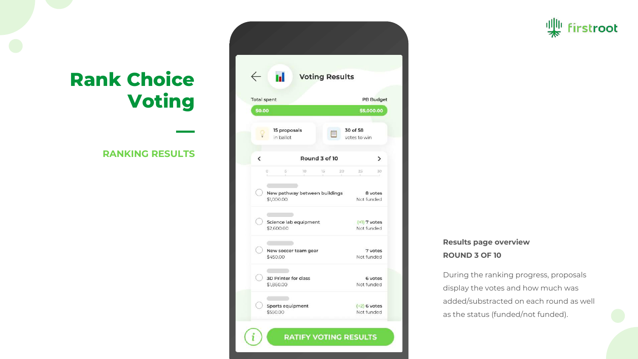### **RANKING RESULTS**

**—**

| <b>In Voting Results</b>               |                                             |                              |  |  |
|----------------------------------------|---------------------------------------------|------------------------------|--|--|
| <b>Total spent</b><br><b>PB Budget</b> |                                             |                              |  |  |
| \$0.00                                 |                                             | \$5,000.00                   |  |  |
|                                        | 15 proposals<br>in ballot                   | 30 of 58<br>votes to win     |  |  |
| $\overline{\phantom{0}}$               | Round 3 of 10                               | ≻                            |  |  |
|                                        | New pathway between buildings<br>\$1,000.00 | 8 votes<br>Not funded        |  |  |
|                                        | Science lab equipment<br>\$2,600.00         | $(+1)$ 7 votes<br>Not funded |  |  |
|                                        | New soccer team gear<br>\$450.00            | 7 votes<br>Not funded        |  |  |
|                                        | <b>3D Printer for class</b><br>\$1,860.00   | 6 votes<br>Not funded        |  |  |

### **Results page overview ROUND 3 OF 10**

During the ranking progress, proposals display the votes and how much was added/substracted on each round as well as the status (funded/not funded).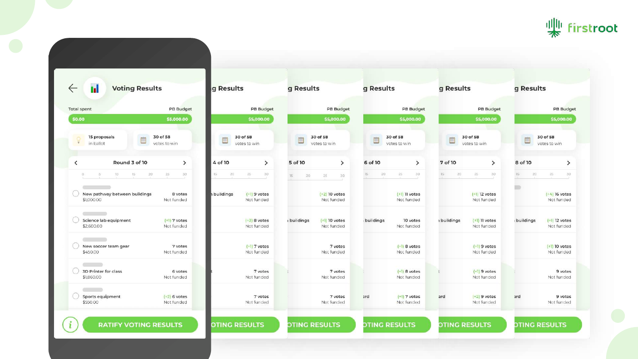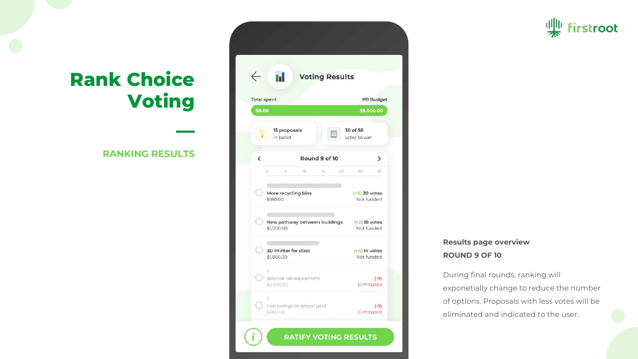### **RANKING RESULTS**

**—**

| <b>Voting Results</b>                       |                               |  |  |
|---------------------------------------------|-------------------------------|--|--|
| <b>Total spent</b>                          | <b>PB Budget</b>              |  |  |
| \$0.00                                      | \$5,000.00                    |  |  |
| 15 proposals<br>in ballot                   | 30 of 58<br>votes to win      |  |  |
| Round 9 of 10<br>$\overline{\phantom{0}}$   | ⋋                             |  |  |
| $5^{\circ}$<br>10.<br>15<br>O.              | 20<br>25<br>30                |  |  |
| More recycling bins<br>\$180.00             | $(+8)$ 20 votes<br>Not funded |  |  |
| New pathway between buildings<br>\$1,000.00 | $(+2)$ 18 votes<br>Not funded |  |  |
| <b>3D Printer for class</b><br>\$1,860.00   | $(+4)$ 14 votes<br>Not funded |  |  |
| ū.                                          | $(-9)$                        |  |  |

### **Results page overview ROUND 9 OF 10**

During final rounds, ranking will exponetially change to reduce the number of options. Proposals with less votes will be eliminated and indicated to the user.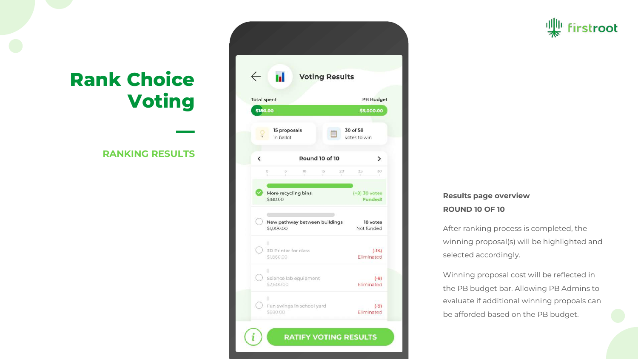### **RANKING RESULTS**

**—**

| <b>Voting Results</b>                  |                                                      |                                      |  |  |
|----------------------------------------|------------------------------------------------------|--------------------------------------|--|--|
| <b>Total spent</b><br><b>PB Budget</b> |                                                      |                                      |  |  |
| \$180.00                               |                                                      | \$5,000.00                           |  |  |
|                                        | 15 proposals<br>in ballot                            | 30 of 58<br>votes to win             |  |  |
| $\overline{\phantom{0}}$               | Round 10 of 10                                       | ゝ                                    |  |  |
| \$180.00                               | More recycling bins<br>New pathway between buildings | (+8) 30 votes<br>Funded!<br>18 votes |  |  |
| \$1,000.00<br>ı.<br>\$1,860.00         | 3D Printer for class                                 | Not funded<br>$(-14)$<br>Eliminated  |  |  |
| g,                                     |                                                      |                                      |  |  |

### **Results page overview ROUND 10 OF 10**

After ranking process is completed, the winning proposal(s) will be highlighted and selected accordingly.

irstroot

Winning proposal cost will be reflected in the PB budget bar. Allowing PB Admins to evaluate if additional winning propoals can be afforded based on the PB budget.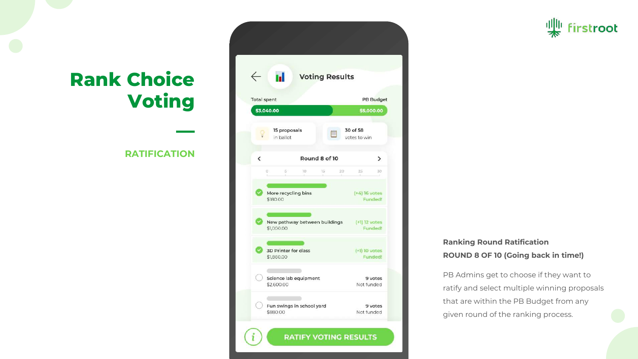### **RATIFICATION**

**—**

| n.<br><b>Voting Results</b>            |                                             |               |                            |    |
|----------------------------------------|---------------------------------------------|---------------|----------------------------|----|
| <b>Total spent</b><br><b>PB Budget</b> |                                             |               |                            |    |
| \$3,040.00                             |                                             |               | \$5,000.00                 |    |
|                                        | 15 proposals<br>in ballot                   |               | 30 of 58<br>votes to win   |    |
| $\overline{\phantom{0}}$               |                                             | Round 8 of 10 |                            | ⋗  |
| $\circ$                                | <b>S</b><br>10.                             | $15 -$<br>20  | 25                         | 30 |
|                                        | More recycling bins<br>\$180.00             |               | $(+4)$ 16 votes<br>Funded! |    |
|                                        | New pathway between buildings<br>\$1,000.00 |               | (+1) 12 votes<br>Funded!   |    |
|                                        | 3D Printer for class<br>\$1,860.00          |               | $(+1)$ 10 votes<br>Funded! |    |
|                                        | Science lab equipment                       |               | 9 votes                    |    |

### **Ranking Round Ratification ROUND 8 OF 10 (Going back in time!)**

PB Admins get to choose if they want to ratify and select multiple winning proposals that are within the PB Budget from any given round of the ranking process.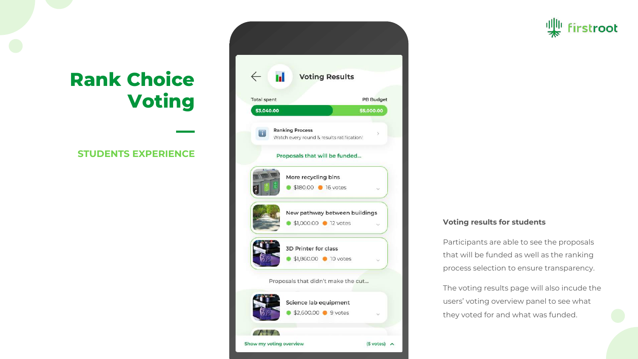### **STUDENTS EXPERIENCE**

**—**



#### **Voting results for students**

Participants are able to see the proposals that will be funded as well as the ranking process selection to ensure transparency.

The voting results page will also incude the users' voting overview panel to see what they voted for and what was funded.